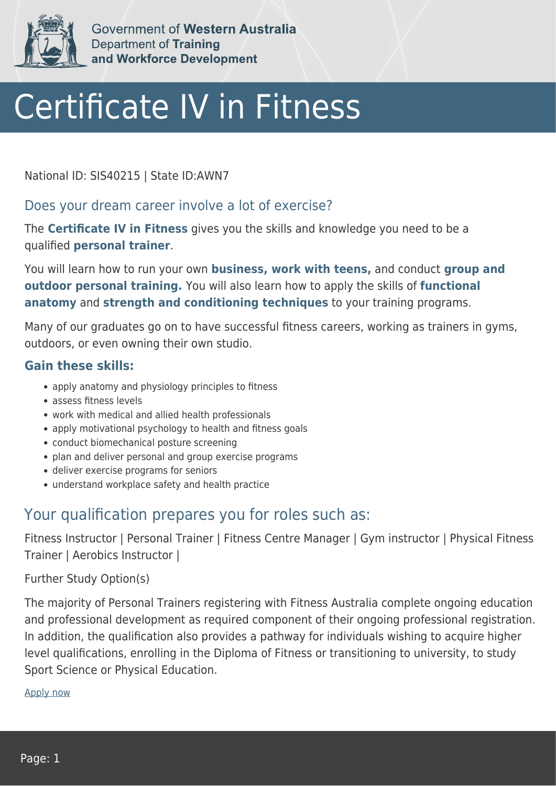

Government of Western Australia Department of Training and Workforce Development

# Certificate IV in Fitness

National ID: SIS40215 | State ID:AWN7

### Does your dream career involve a lot of exercise?

The **Certificate IV in Fitness** gives you the skills and knowledge you need to be a qualified **personal trainer**.

You will learn how to run your own **business, work with teens,** and conduct **group and outdoor personal training.** You will also learn how to apply the skills of **functional anatomy** and **strength and conditioning techniques** to your training programs.

Many of our graduates go on to have successful fitness careers, working as trainers in gyms, outdoors, or even owning their own studio.

#### **Gain these skills:**

- apply anatomy and physiology principles to fitness
- assess fitness levels
- work with medical and allied health professionals
- apply motivational psychology to health and fitness goals
- conduct biomechanical posture screening
- plan and deliver personal and group exercise programs
- deliver exercise programs for seniors
- understand workplace safety and health practice

## Your qualification prepares you for roles such as:

Fitness Instructor | Personal Trainer | Fitness Centre Manager | Gym instructor | Physical Fitness Trainer | Aerobics Instructor |

#### Further Study Option(s)

The majority of Personal Trainers registering with Fitness Australia complete ongoing education and professional development as required component of their ongoing professional registration. In addition, the qualification also provides a pathway for individuals wishing to acquire higher level qualifications, enrolling in the Diploma of Fitness or transitioning to university, to study Sport Science or Physical Education.

[Apply now](https://tasonline.tafe.wa.edu.au/Default.aspx)